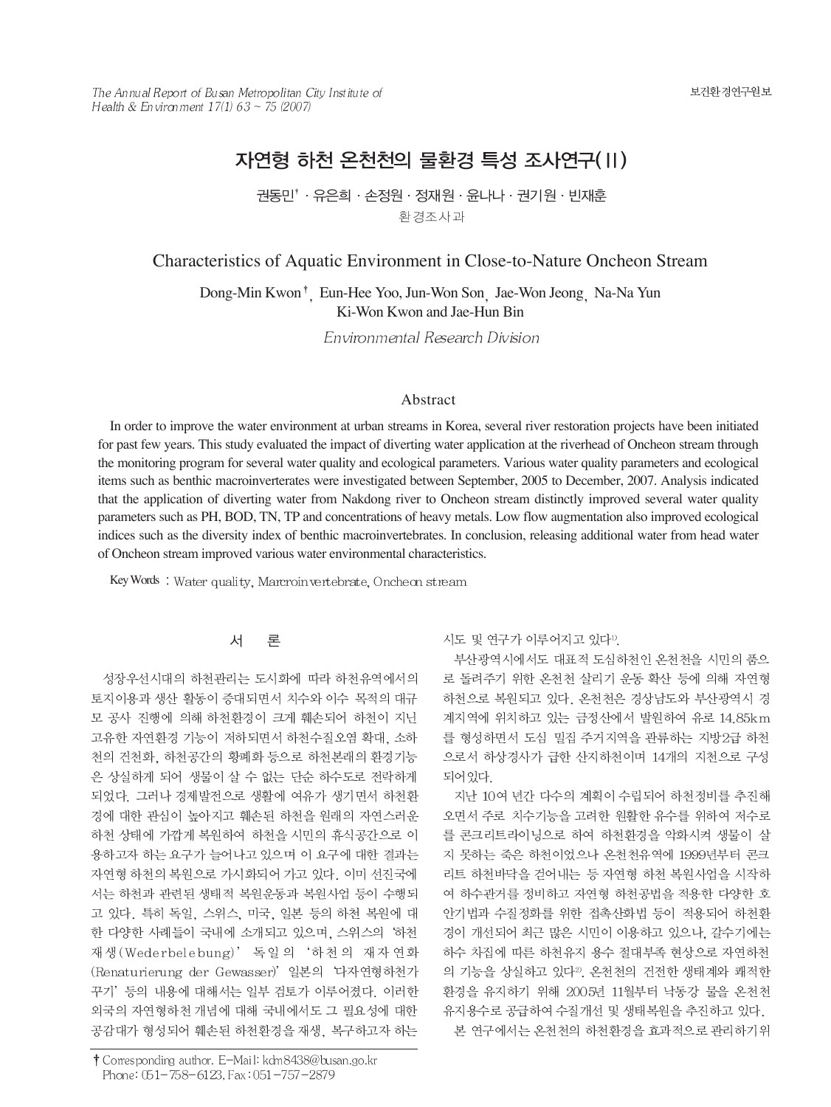The Annual Report of Busan Metropolitan City Institute of Health & Environment 17(1) 63 ~ 75 (2007)

# 자연형 하천 온천천의 물환경 특성 조사연구(II)

권동민<sup>\*</sup> · 유은희 · 손정원 · 정재원 · 윤나나 · 권기원 · 빈재훈 환경조사과

### Characteristics of Aquatic Environment in Close-to-Nature Oncheon Stream

Dong-Min Kwon<sup>†</sup> Eun-Hee Yoo, Jun-Won Son Jae-Won Jeong Na-Na Yun Ki-Won Kwon and Jae-Hun Bin

Environmental Research Division

#### Abstract

In order to improve the water environment at urban streams in Korea, several river restoration projects have been initiated for past few years. This study evaluated the impact of diverting water application at the riverhead of Oncheon stream through the monitoring program for several water quality and ecological parameters. Various water quality parameters and ecological items such as benthic macroinverterates were investigated between September, 2005 to December, 2007. Analysis indicated that the application of diverting water from Nakdong river to Oncheon stream distinctly improved several water quality parameters such as PH, BOD, TN, TP and concentrations of heavy metals. Low flow augmentation also improved ecological indices such as the diversity index of benthic macroinvertebrates. In conclusion, releasing additional water from head water of Oncheon stream improved various water environmental characteristics.

Key Words: Water quality, Marcroin vertebrate, Oncheon stream

#### 서 론

성장우선시대의 하천관리는 도시화에 따라 하천유역에서의 토지이용과 생산 활동이 증대되면서 치수와 이수 목적의 대규 모 공사 진행에 의해 하천환경이 크게 훼손되어 하천이 지닌 고유한 자연환경 기능이 저하되면서 하천수질오염 확대. 소하 천의 건천화, 하천공간의 황폐화 등으로 하천본래의 환경기능 은 상실하게 되어 생물이 살 수 없는 단순 하수도로 전락하게 되었다. 그러나 경제발전으로 생활에 여유가 생기면서 하천환 경에 대한 관심이 높아지고 훼손된 하천을 원래의 자연스러운 하천 상태에 가깝게 복원하여 하천을 시민의 휴식공간으로 이 용하고자 하는 요구가 늘어나고 있으며 이 요구에 대한 결과는 자연형 하천의 복원으로 가시화되어 가고 있다. 이미 선진국에 서는 하천과 관련된 생태적 복원운동과 복원사업 등이 수행되 고 있다. 특히 독일, 스위스, 미국, 일본 등의 하천 복원에 대 한 다양한 사례들이 국내에 소개되고 있으며, 스위스의 '하천 재생 (Wederbelebung)' 독일의 '하천의 재자연화 (Renaturierung der Gewasser)' 일본의 '다자연형하천가 꾸기' 등의 내용에 대해서는 일부 검토가 이루어졌다. 이러한 외국의 자연형하천 개념에 대해 국내에서도 그 필요성에 대한 공감대가 형성되어 훼손된 하천환경을 재생, 복구하고자 하는

† Corresponding author. E-Mail: kdm8438@busan.go.kr Phone: 051-758-6123, Fax: 051-757-2879

시도 및 연구가 이루어지고 있다".

부산광역시에서도 대표적 도심하천인 온천천을 시민의 품으 로 돌려주기 위한 온천천 살리기 운동 확산 등에 의해 자연형 하천으로 복원되고 있다. 온천천은 경상남도와 부산광역시 경 계지역에 위치하고 있는 금정산에서 발원하여 유로 14.85km 를 형성하면서 도심 밀집 주거지역을 관류하는 지방2급 하천 으로서 하상경사가 급한 산지하천이며 14개의 지천으로 구성 되어 있다.

지난 10여 년간 다수의 계획이 수립되어 하천정비를 추진해 오면서 주로 치수기능을 고려한 원활한 유수를 위하여 저수로 를 콘크리트라이닝으로 하여 하천환경을 악화시켜 생물이 살 지 못하는 죽은 하천이었으나 온천천유역에 1999년부터 콘크 리트 하천바닥을 걷어내는 등 자연형 하천 복원사업을 시작하 여 하수관거를 정비하고 자연형 하천공법을 적용한 다양한 호 안기법과 수질정화를 위한 접촉산화법 등이 적용되어 하천환 경이 개선되어 최근 많은 시민이 이용하고 있으나, 갈수기에는 하수 차집에 따른 하천유지 용수 절대부족 현상으로 자연하천 의 기능을 상실하고 있다<sup>2)</sup>. 온천천의 건전한 생태계와 쾌적한 환경을 유지하기 위해 2005년 11월부터 낙동강 물을 온천천

유지용수로 공급하여 수질개선 및 생태복원을 추진하고 있다. 본 연구에서는 온천천의 하천환경을 효과적으로 관리하기위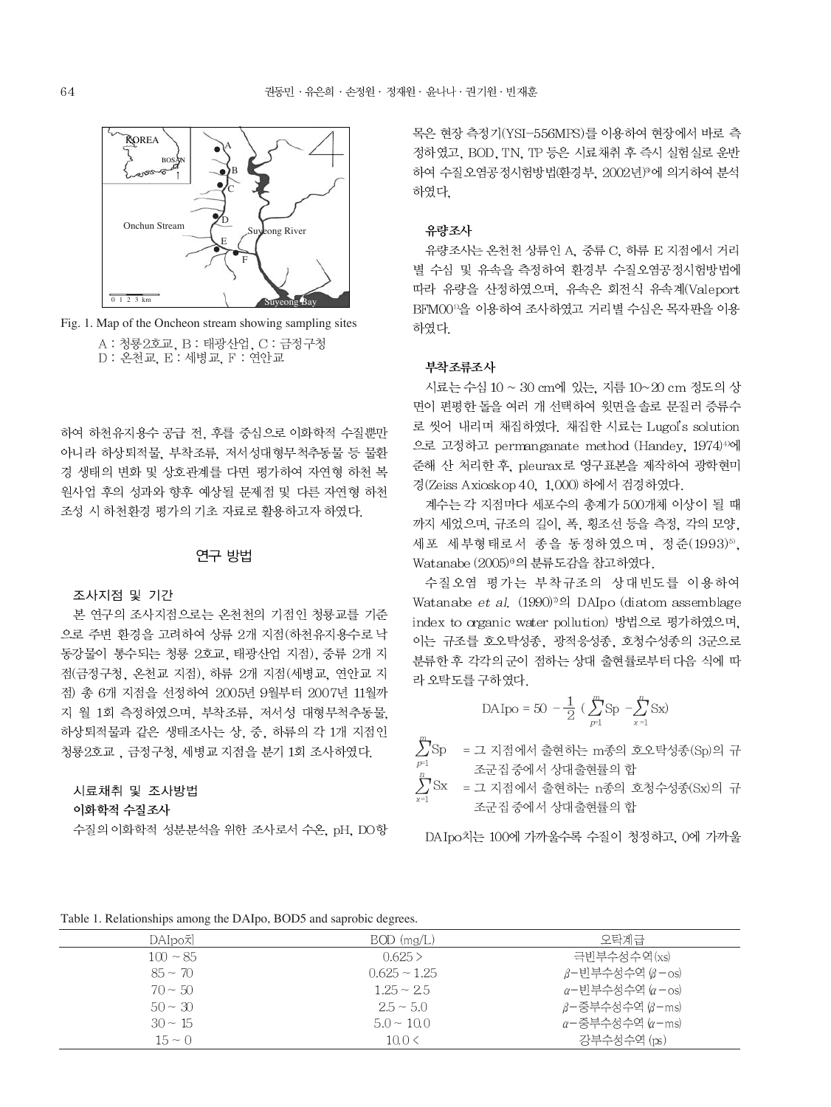

Fig. 1. Map of the Oncheon stream showing sampling sites A : 청룡2호교, B : 태광산업, C : 금정구청 D : 온천교, E : 세병교, F : 연안교

하여 하천유지용수 공급 전, 후를 중심으로 이화학적 수질뿐만 아니라 하상퇴적물, 부착조류, 저서성대형무척추동물 등 물환 경 생태의 변화 및 상호관계를 다면 평가하여 자연형 하천 복 원사업 후의 성과와 향후 예상될 문제점 및 다른 자연형 하천 조성 시 하천환경 평가의 기초 자료로 활용하고자 하였다.

### 연구 방법

#### 조사지점 및 기간

본 연구의 조사지점으로는 온천천의 기점인 청룡교를 기준 으로 주변 환경을 고려하여 상류 2개 지점(하천유지용수로 낙 동강물이 통수되는 청룡 2호교, 태광산업 지점), 중류 2개 지 점(금정구청, 온천교 지점), 하류 2개 지점(세병교, 연안교 지 점) 총 6개 지점을 선정하여 2005년 9월부터 2007년 11월까 지 월 1회 측정하였으며, 부착조류, 저서성 대형무척추동물, 하상퇴적물과 같은 생태조사는 상, 중, 하류의 각 1개 지점인 청룡2호교, 금정구청, 세병교 지점을 분기 1회 조사하였다.

#### 시료채취 및 조사방법

#### 이화학적 수질조사

수질의 이화학적 성분분석을 위한 조사로서 수온, pH, DO항

목은 현장 측정기(YSI-556MPS)를 이용하여 현장에서 바로 측 정하였고, BOD, TN, TP 등은 시료채취 후 즉시 실험실로 운반 하여 수질오염공정시험방법(환경부, 2002년)<sup>9</sup>에 의거하여 분석 하였다.

#### 유량조사

유량조사는 온천천 상류인 A, 중류 C, 하류 E 지점에서 거리 별 수심 및 유속을 측정하여 환경부 수질오염공정시험방법에 따라 유량을 산정하였으며, 유속은 회전식 유속계(Valeport BFM00<sup>11</sup>을 이용하여 조사하였고 거리별 수심은 목자판을 이용 하였다.

#### 부착조류조사

시료는 수심 10 ~ 30 cm에 있는, 지름 10~20 cm 정도의 상 면이 편평한 돌을 여러 개 선택하여 윗면을 솔로 문질러 증류수 로 씻어 내리며 채집하였다. 채집한 시료는 Lugol's solution 으로 고정하고 permanganate method (Handey, 1974)<sup>4)</sup>에 준해 산 처리한 후, pleurax로 영구표본을 제작하여 광학현미 경(Zeiss Axioskop 40, 1,000) 하에서 검경하였다.

계수는 각 지점마다 세포수의 총계가 500개체 이상이 될 때 까지 세었으며, 규조의 길이, 폭, 횡조선 등을 측정, 각의 모양, 세포 세부형태로서 종을 동정하였으며, 정준(1993)5), Watanabe (2005)<sup>®</sup>의 분류도감을 참고하였다.

수질오염 평가는 부착규조의 상대빈도를 이용하여 Watanabe et al.  $(1990)^{\eta}$ el DAIpo (diatom assemblage index to organic water pollution) 방법으로 평가하였으며, 이는 규조를 호오탁성종, 광적응성종, 호청수성종의 3군으로 분류한 후 각각의 군이 점하는 상대 출현률로부터 다음 식에 따 라 오탁도를 구하였다.

$$
\mathrm{DA} \mathrm{Ipo} = 50 \; - \frac{1}{2} \; (\; \sum_{p=1}^{m} \mathrm{Sp} \; - \! \sum_{x=1}^{n} \mathrm{Sx})
$$

= 그 지점에서 출현하는 m종의 호오탁성종(Sp)의 규 조군집 중에서 상대출현률의 합

 $\sum^{\mu}$ Sx  $\epsilon = \pm 1$  지점에서 출현하는 n종의 호청수성종(Sx)의 규 조군집 중에서 상대출현률의 합

DAIpo치는 100에 가까울수록 수질이 청정하고, 0에 가까울

Table 1. Relationships among the DAIpo, BOD5 and saprobic degrees.

| DAIpo치        | $BOD$ (mg/L)      | 오탄계급                            |
|---------------|-------------------|---------------------------------|
| $100 \sim 85$ | $0.625$ >         | 극빈부수성수역(xs)                     |
| $85 \sim 70$  | $0.625 \sim 1.25$ | β-빈부수성수역 (β-os)                 |
| $70 \sim 50$  | $1.25 \sim 2.5$   | α-빈부수성수역 (α-os)                 |
| $50 \sim 30$  | $2.5 \sim 5.0$    | β-중부수성수역 (β−ms)                 |
| $30 \sim 15$  | $5.0 \sim 10.0$   | $\alpha$ -중부수성수역 $(\alpha$ -ms) |
| $15 \sim 0$   | 10.0 <            | 강부수성수역 (ps)                     |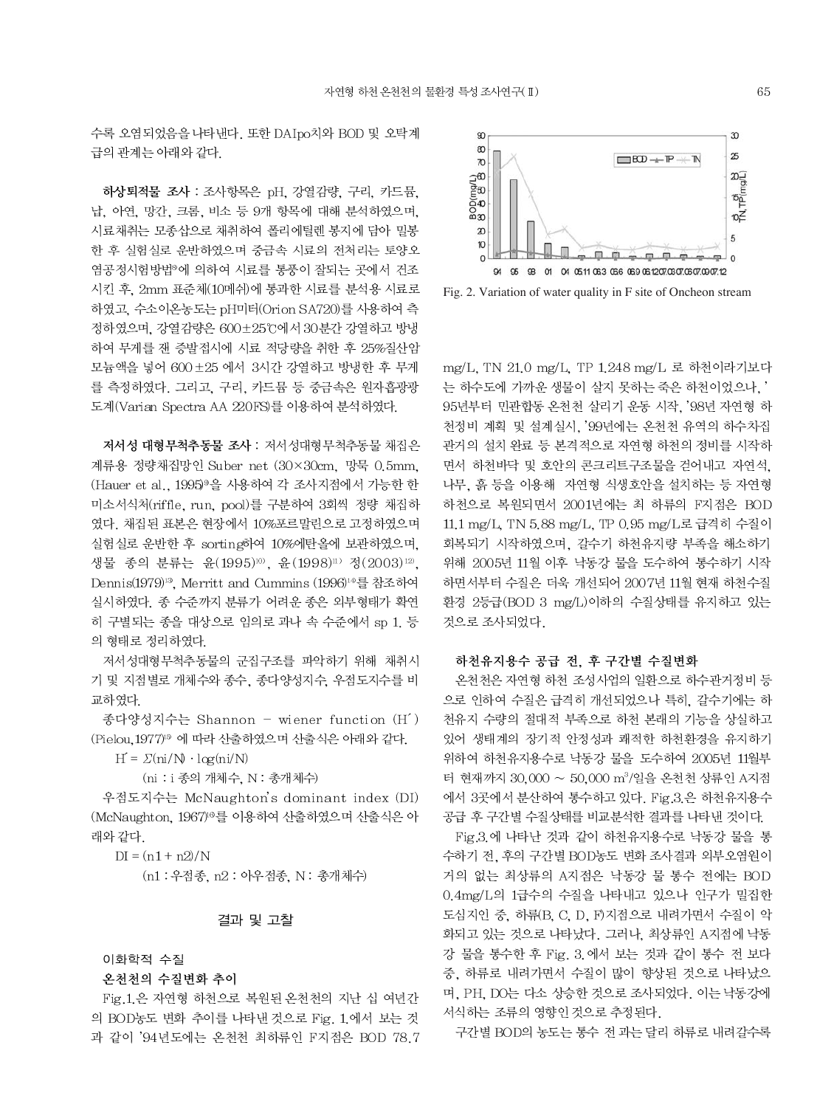수록 오염되었음을 나타낸다. 또한 DAIpo치와 BOD 및 오탁계 급의 관계는 아래와 같다.

하상퇴적물 조사 : 조사항목은 pH. 강열감량, 구리, 카드뮴, 납, 아연, 망간, 크롬, 비소 등 9개 항목에 대해 분석하였으며, 시료채취는 모종삽으로 채취하여 폴리에틸렌 봉지에 담아 밀봉 한 후 실험실로 운반하였으며 중금속 시료의 전처리는 토양오 염공정시험방법®에 의하여 시료를 통풍이 잘되는 곳에서 건조 시킨 후, 2mm 표준체(10메쉬)에 통과한 시료를 분석용 시료로 하였고, 수소이온농도는 pH미터(Orion SA720)를 사용하여 측 정하였으며. 강열감량은 600±25℃에서 30분간 강열하고 방냉 하여 무게를 잰 증발접시에 시료 적당량을 취한 후 25%질산암 모늄액을 넣어 600±25 에서 3시간 강열하고 방냉한 후 무게 를 측정하였다. 그리고, 구리, 카드뮴 등 중금속은 원자흡광광 도계(Varian Spectra AA 220FS)를 이용하여 분석하였다.

저서성 대형무척추동물 조사 : 저서성대형무척추동물 채집은 계류용 정량채집망인 Suber net (30×30cm, 망묵 0.5mm, (Hauer et al., 1995)<sup>9</sup>을 사용하여 각 조사지점에서 가능한 한 미소서식처(riffle, run, pool)를 구분하여 3회씩 정량 채집하 였다. 채집된 표본은 현장에서 10%포르말린으로 고정하였으며 실험실로 운반한 후 sorting하여 10%에탄올에 보관하였으며, 생물 종의 분류는 윤(1995)10) 윤(1998)11) 정(2003)12). Dennis(1979)<sup>13</sup>. Merritt and Cummins (1996)<sup>14</sup>를 참조하여 실시하였다. 종 수준까지 분류가 어려운 종은 외부형태가 확연 히 구별되는 종을 대상으로 임의로 과나 속 수준에서 sp 1. 등 의 형태로 정리하였다.

저서성대형무척추동물의 군집구조를 파악하기 위해 채취시 기 및 지점별로 개체수와 종수, 종다양성지수, 우점도지수를 비 교하였다.

종다양성지수는 Shannon - wiener function (H<sup>'</sup>) (Pielou, 1977)<sup>19</sup> 에 따라 산출하였으며 산출식은 아래와 같다.

 $H = \Sigma(\text{ni}/N \cdot \log(\text{ni}/N))$ 

(ni : i 종의 개체수, N : 총개체수)

우점도지수는 McNaughton's dominant index (DI) (McNaughton, 1967)<sup>6</sup>를 이용하여 산출하였으며 산출식은 아 래와 같다.

 $DI = (n1 + n2)/N$ 

(n1 : 우점종, n2 : 아우점종, N : 총개체수)

#### 결과 및 고찰

#### 이화학적 수질

#### 온천천의 수질변화 추이

Fig.1.은 자연형 하천으로 복원된 온천천의 지난 십 여년간 의 BOD농도 변화 추이를 나타낸 것으로 Fig. 1.에서 보는 것 과 같이 '94년도에는 온천천 최하류인 F지점은 BOD 78.7



Fig. 2. Variation of water quality in F site of Oncheon stream

mg/L, TN 21.0 mg/L, TP 1.248 mg/L 로 하천이라기보다 는 하수도에 가까운 생물이 살지 못하는 죽은 하천이었으나.' 95년부터 민관합동 온천천 살리기 운동 시작. '98년 자연형 하 천정비 계획 및 설계실시, '99년에는 온천천 유역의 하수차집 관거의 설치 완료 등 본격적으로 자연형 하천의 정비를 시작하 면서 하천바닥 및 호안의 콘크리트구조물을 걷어내고 자연석. 나무, 흙 등을 이용해 자연형 식생호안을 설치하는 등 자연형 하천으로 복원되면서 2001년에는 최 하류의 F지점은 BOD 11.1 mg/L. TN 5.88 mg/L. TP 0.95 mg/L로 급격히 수질이 회복되기 시작하였으며, 갈수기 하천유지량 부족을 해소하기 위해 2005년 11월 이후 낙동강 물을 도수하여 통수하기 시작 하면서부터 수질은 더욱 개선되어 2007년 11월 현재 하천수질 환경 2등급(BOD 3 mg/L)이하의 수질상태를 유지하고 있는 것으로 조사되었다.

#### 하천유지용수 공급 전, 후 구간별 수질변화

온천천은 자연형 하천 조성사업의 일환으로 하수관거정비 등 으로 인하여 수질은 급격히 개선되었으나 특히, 갈수기에는 하 천유지 수량의 절대적 부족으로 하천 본래의 기능을 상실하고 있어 생태계의 장기적 안정성과 쾌적한 하천환경을 유지하기 위하여 하천유지용수로 낙동강 물을 도수하여 2005년 11월부 터 현재까지 30,000 ~ 50,000 m3/일을 온천천 상류인 A지점 에서 3곳에서 분산하여 통수하고 있다. Fig.3.은 하천유지용수 공급 후 구간별 수질상태를 비교분석한 결과를 나타낸 것이다.

Fig.3.에 나타난 것과 같이 하천유지용수로 낙동강 물을 통 수하기 전, 후의 구간별 BOD농도 변화 조사결과 외부오염원이 거의 없는 최상류의 A지점은 낙동강 물 통수 전에는 BOD 0.4mg/L의 1급수의 수질을 나타내고 있으나 인구가 밀집한 도심지인 중. 하류(B. C. D. F)지점으로 내려가면서 수질이 악 화되고 있는 것으로 나타났다. 그러나, 최상류인 A지점에 낙동 강 물을 통수한 후 Fig. 3.에서 보는 것과 같이 통수 전 보다 중, 하류로 내려가면서 수질이 많이 향상된 것으로 나타났으 며, PH, DO는 다소 상승한 것으로 조사되었다. 이는 낙동강에 서식하는 조류의 영향인 것으로 추정된다.

구간별 BOD의 농도는 통수 전 과는 달리 하류로 내려갈수록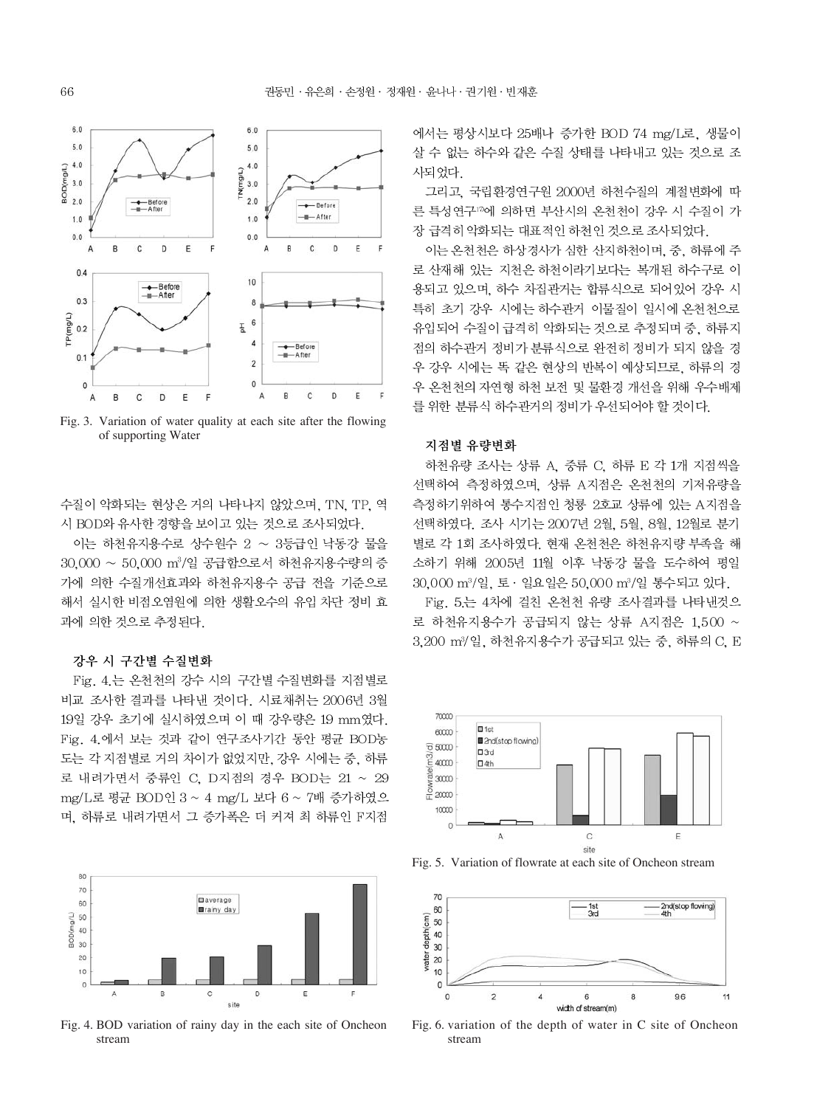

Fig. 3. Variation of water quality at each site after the flowing of supporting Water

수질이 악화되는 현상은 거의 나타나지 않았으며, TN, TP, 역 시 BOD와 유사한 경향을 보이고 있는 것으로 조사되었다.

이는 하천유지용수로 상수원수 2 ~ 3등급인 낙동강 물을  $30,000 \sim 50,000$   $\mathrm{m}^3/\mathrm{2}$  공급함으로서 하천유지용수량의 증 가에 의한 수질개선효과와 하천유지용수 공급 전을 기준으로 해서 실시한 비점오염원에 의한 생활오수의 유입 차단 정비 효 과에 의한 것으로 추정된다.

#### 강우 시 구간별 수질변화

Fig. 4. 는 온천천의 강수 시의 구간별 수질변화를 지점별로 비교 조사한 결과를 나타낸 것이다. 시료채취는 2006년 3월 19일 강우 초기에 실시하였으며 이 때 강우량은 19 mm였다. Fig. 4.에서 보는 것과 같이 연구조사기간 동안 평균 BOD농 도는 각 지점별로 거의 차이가 없었지만, 강우 시에는 중, 하류 로 내려가면서 중류인 C, D지점의 경우 BOD는 21 ~ 29 mg/L로 평균 BOD인 3 ~ 4 mg/L 보다 6 ~ 7배 증가하였으 며, 하류로 내려가면서 그 증가폭은 더 커져 최 하류인 F지점



Fig. 4. BOD variation of rainy day in the each site of Oncheon stream

에서는 평상시보다 25배나 증가한 BOD 74 mg/L로, 생물이 살 수 없는 하수와 같은 수질 상태를 나타내고 있는 것으로 조 사되었다.

그리고, 국립환경연구원 2000년 하천수질의 계절변화에 따 른 특성연구17에 의하면 부산시의 온천천이 강우 시 수질이 가 장 급격히 악화되는 대표적인 하천인 것으로 조사되었다.

이는 온천천은 하상경사가 심한 산지하천이며, 중, 하류에 주 로 산재해 있는 지천은 하천이라기보다는 복개된 하수구로 이 용되고 있으며, 하수 차집관거는 합류식으로 되어있어 강우 시 특히 초기 강우 시에는 하수관거 이물질이 일시에 온천천으로 유입되어 수질이 급격히 악화되는 것으로 추정되며 중, 하류지 점의 하수관거 정비가 분류식으로 완전히 정비가 되지 않을 경 우 강우 시에는 똑 같은 현상의 반복이 예상되므로, 하류의 경 우 온천천의 자연형 하천 보전 및 물환경 개선을 위해 우수배제 를 위한 분류식 하수관거의 정비가 우선되어야 할 것이다.

#### 지점별 유량변화

하천유량 조사는 상류 A, 중류 C, 하류 E 각 1개 지점씩을 선택하여 측정하였으며, 상류 A지점은 온천천의 기저유량을 측정하기위하여 통수지점인 청룡 2호교 상류에 있는 A지점을 선택하였다. 조사 시기는 2007년 2월, 5월, 8월, 12월로 분기 별로 각 1회 조사하였다. 현재 온천천은 하천유지량 부족을 해 소하기 위해 2005년 11월 이후 낙동강 물을 도수하여 평일 30,000 m<sup>3</sup>/일, 토 · 일요일은 50,000 m<sup>3</sup>/일 통수되고 있다.

Fig. 5.는 4차에 걸친 온천천 유량 조사결과를 나타낸것으 로 하천유지용수가 공급되지 않는 상류 A지점은 1,500 ~ 3.200 m<sup>3</sup>/일. 하천유지용수가 공급되고 있는 중. 하류의 C. E



Fig. 5. Variation of flowrate at each site of Oncheon stream



Fig. 6. variation of the depth of water in C site of Oncheon stream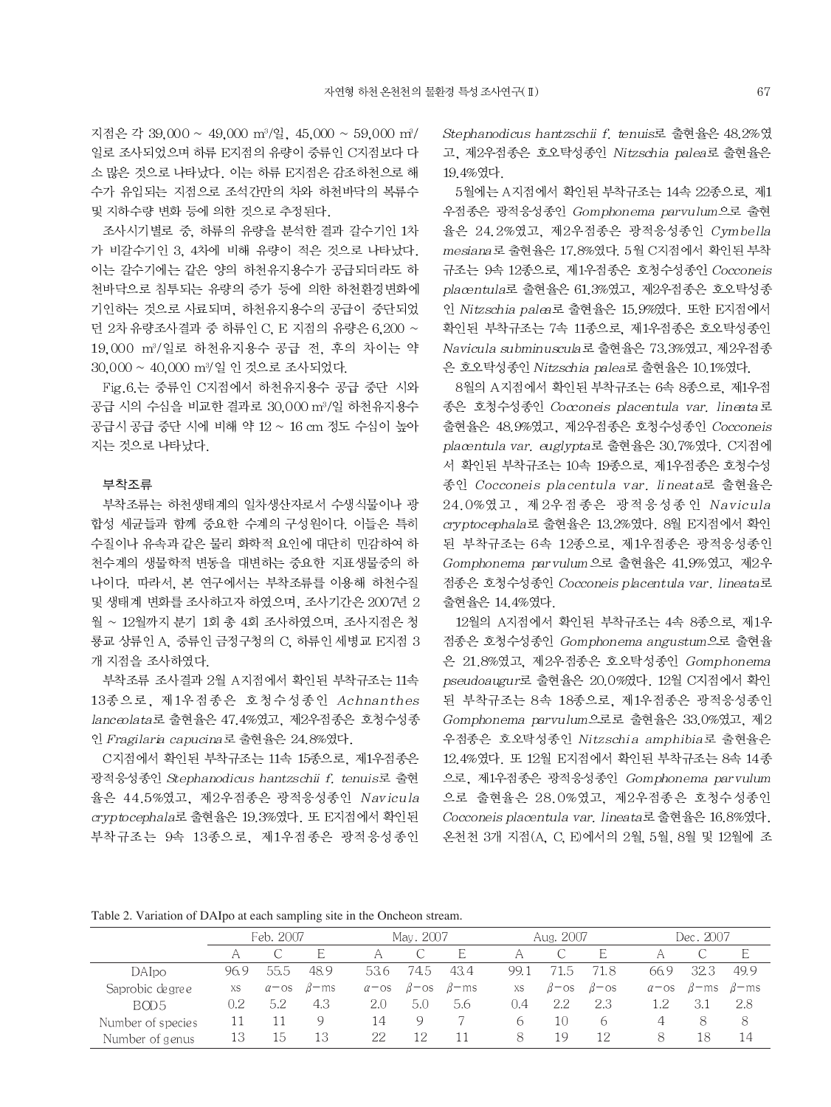지점은 각 39,000 ~ 49,000 m<sup>3</sup>/일, 45,000 ~ 59,000 m<sup>3</sup>/ 일로 조사되었으며 하류 E지점의 유량이 중류인 C지점보다 다 소 많은 것으로 나타났다. 이는 하류 E지점은 감조하천으로 해 수가 유입되는 지점으로 조석간만의 차와 하천바닥의 복류수 및 지하수량 변화 등에 의한 것으로 추정된다.

조사시기별로 중, 하류의 유량을 분석한 결과 갈수기인 1차 가 비갈수기인 3. 4차에 비해 유량이 적은 것으로 나타났다. 이는 갈수기에는 같은 양의 하천유지용수가 공급되더라도 하 천바닥으로 침투되는 유량의 증가 등에 의한 하천환경변화에 기인하는 것으로 사료되며, 하천유지용수의 공급이 중단되었 던 2차 유량조사결과 중 하류인 C, E 지점의 유량은 6,200 ~ 19,000 m3/일로 하천유지용수 공급 전, 후의 차이는 약 30.000 ~ 40,000 m<sup>3</sup>/일 인 것으로 조사되었다.

Fig.6.는 중류인 C지점에서 하천유지용수 공급 중단 시와 공급 시의 수심을 비교한 결과로 30,000 m3/일 하천유지용수 공급시 공급 중단 시에 비해 약 12 ~ 16 cm 정도 수심이 높아 지는 것으로 나타났다.

#### 부착조류

부착조류는 하천생태계의 일차생산자로서 수생식물이나 광 합성 세균들과 함께 중요한 수계의 구성원이다. 이들은 특히 수질이나 유속과 같은 물리 화학적 요인에 대단히 민감하여 하 천수계의 생물학적 변동을 대변하는 중요한 지표생물중의 하 나이다. 따라서. 본 연구에서는 부착조류를 이용해 하천수질 및 생태계 변화를 조사하고자 하였으며, 조사기간은 2007년 2 월 ~ 12월까지 분기 1회 총 4회 조사하였으며, 조사지점은 청 룡교 상류인 A. 중류인 금정구청의 C. 하류인 세병교 E지점 3 개 지점을 조사하였다.

부착조류 조사결과 2월 A지점에서 확인된 부착규조는 11속 13종으로, 제1우점종은 호청수성종인 Achnanthes lanceolata로 출현율은 47.4%였고, 제2우점종은 호청수성종 인 Fragilaria capucina로 출현율은 24.8%였다.

C지점에서 확인된 부착규조는 11속 15종으로, 제1우점종은 광적응성종인 Stephanodicus hantzschii f. tenuis로 출현 율은 44.5%였고, 제2우점종은 광적응성종인 Navicula cryptocephala로 출현율은 19.3%였다. 또 E지점에서 확인된 부착규조는 9속 13종으로, 제1우점종은 광적응성종인 Stephanodicus hantzschii f. tenuis로 출현율은 48.2%였 고, 제2우점종은 호오탁성종인 Nitzschia palea로 출현율은 19.4%였다.

5월에는 A지점에서 확인된 부착규조는 14속 22종으로, 제1 우점종은 광적응성종인 Gomphonema parvulum으로 출현 율은 24.2%였고, 제2우점종은 광적응성종인 Cymbella mesiana 로 출현율은 17.8%였다. 5월 C지점에서 확인된 부착 규조는 9속 12종으로, 제1우점종은 호청수성종인 Cocconeis placentula로 출현율은 61.3%였고, 제2우점종은 호오탁성종 인 Nitzschia palea로 출현율은 15.9%였다. 또한 E지점에서 확인된 부착규조는 7속 11종으로, 제1우점종은 호오탁성종인 Navicula subminuscula로 출현율은 73.3%였고, 제2우점종 은 호오탁성종인 Nitzschia palea로 출현율은 10.1%였다.

8월의 A지점에서 확인된 부착규조는 6속 8종으로, 제1우점 종은 호청수성종인 Cocconeis placentula var. lineata로 출현율은 48.9%였고, 제2우점종은 호청수성종인 Cocconeis placentula var. euglypta로 출현율은 30.7%였다. C지점에 서 확인된 부착규조는 10속 19종으로, 제1우점종은 호청수성 종인 Cocconeis placentula var. lineata로 출현율은 24.0%였고, 제2우점종은 광적응성종인 Navicula cryptocephala로 출현율은 13.2%였다. 8월 E지점에서 확인 된 부착규조는 6속 12종으로, 제1우점종은 광적응성종인 Gomphonema parvulum으로 출현율은 41.9%였고, 제2우 접종은 호청수성종인 Cocconeis placentula var. lineata로 출현율은 14.4%였다.

12월의 A지점에서 확인된 부착규조는 4속 8종으로, 제1우 점종은 호청수성종인 Gomphonema angustum으로 출현율 은 21.8%였고, 제2우점종은 호오탁성종인 Gomphonema pseudoaugur로 출현율은 20.0%였다. 12월 C지점에서 확인 된 부착규조는 8속 18종으로, 제1우점종은 광적응성종인 Gomphonema parvulum으로로 출현율은 33.0%였고, 제2 우점종은 호오탁성종인 Nitzschia amphibia로 출현율은 12.4%였다. 또 12월 E지점에서 확인된 부착규조는 8속 14종 으로, 제1우점종은 광적응성종인 Gomphonema parvulum 으로 출현율은 28.0%였고, 제2우점종은 호청수성종인 Cocconeis placentula var. lineata로 출현율은 16.8%였다. 온천천 3개 지점(A, C, E)에서의 2월, 5월, 8월 및 12월에 조

Table 2. Variation of DAIpo at each sampling site in the Oncheon stream.

|                   | Feb. 2007 |                      |              |                      | May. 2007           |              |      | Aug. 2007           |                     |                      | Dec. 2007    |              |  |  |
|-------------------|-----------|----------------------|--------------|----------------------|---------------------|--------------|------|---------------------|---------------------|----------------------|--------------|--------------|--|--|
|                   |           |                      | E            | A                    |                     | Е            |      |                     | Е                   |                      |              | E            |  |  |
| DAIpo             | 96.9      | 55.5                 | 48.9         | 53.6                 | 74.5                | 43.4         | 99.1 | 71.5                | 71.8                | 66.9                 | 32.3         | 49.9         |  |  |
| Saprobic degree   | XS        | $\alpha$ - $\circ$ s | $\beta$ – ms | $\alpha$ - $\circ$ s | $\beta$ - $\circ$ s | $\beta$ – ms | XS.  | $\beta$ – $\circ$ s | $\beta$ - $\circ$ s | $\alpha$ – $\circ$ s | $\beta$ – ms | $\beta$ – ms |  |  |
| BOD <sub>5</sub>  | 0.2       | 5.2                  | 4.3          | 2.0                  | 5.0                 | 5.6          | 0.4  | 2.2                 | 2.3                 | - 2                  | 3.1          | 2.8          |  |  |
| Number of species | 11        |                      | Q            | 14                   | 9                   |              | 6    | 10                  | b                   | 4                    | 8            | -8           |  |  |
| Number of genus   | 13        | ТÞ                   | 13           | 22                   | 12                  |              | 8    | 19                  | 12                  | 8                    | 18           | 14           |  |  |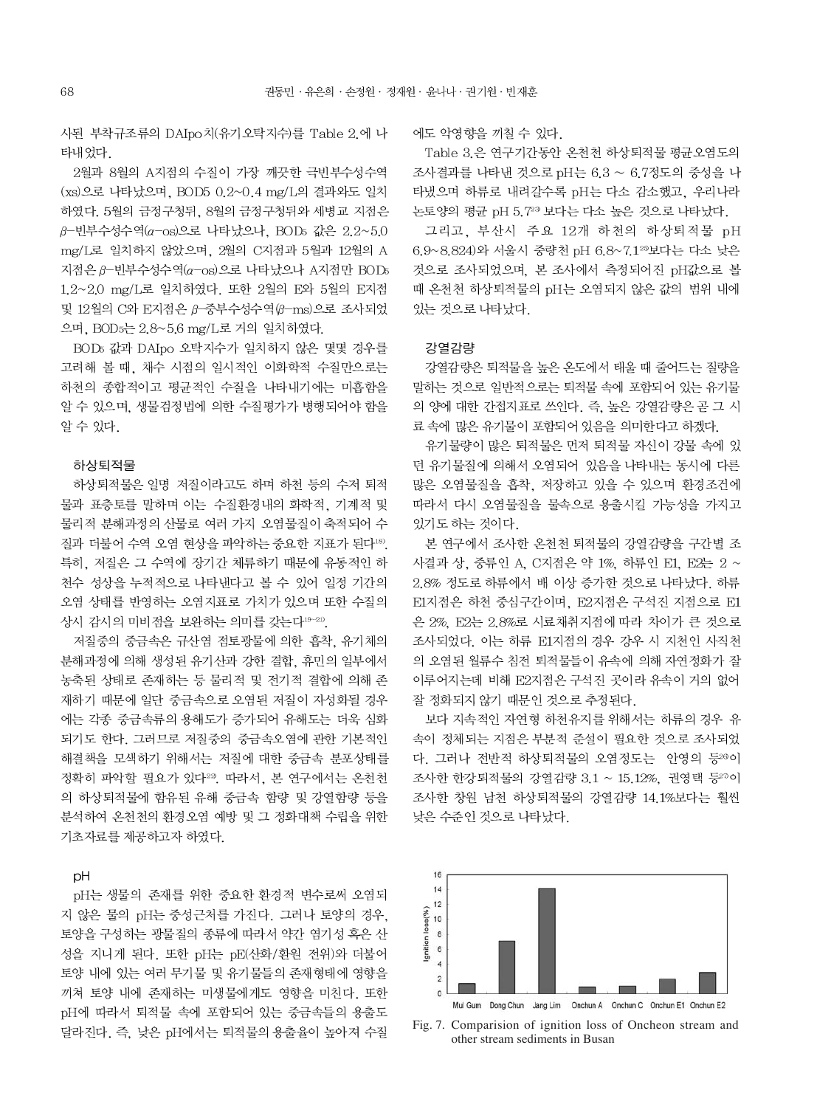사된 부착규조류의 DAIpo치(유기오탁지수)를 Table 2.에 나 타내었다.

2월과 8월의 A지점의 수질이 가장 깨끗한 극빈부수성수역 (xs)으로 나타났으며, BOD5 0.2~0.4 mg/L의 결과와도 일치 하였다. 5월의 금정구청뒤, 8월의 금정구청뒤와 세병교 지점은  $β$ -빈부수성수역(α-os)으로 나타났으나, BOD5 값은 2.2~5.0 mg/L로 일치하지 않았으며, 2월의 C지점과 5월과 12월의 A 지점은 β-빈부수성수역(α-os)으로 나타났으나 Α지점만 BOD5 1.2~2.0 mg/L로 일치하였다. 또한 2월의 E와 5월의 E지점 및 12월의 C와 Ε지점은 β-중부수성수역 (β-ms)으로 조사되었 으며, BOD 5는 2.8~5.6 mg/L로 거의 일치하였다.

BOD5 값과 DAIpo 오탁지수가 일치하지 않은 몇몇 경우를 고려해 볼 때, 채수 시점의 일시적인 이화학적 수질만으로는 하천의 종합적이고 평균적인 수질을 나타내기에는 미흡함을 알 수 있으며. 생물검정법에 의한 수질평가가 병행되어야 함을 알 수 있다.

#### 하상퇴적물

하상퇴적물은 일명 저질이라고도 하며 하천 등의 수저 퇴적 물과 표층토를 말하며 이는 수질환경내의 화학적, 기계적 및 물리적 분해과정의 산물로 여러 가지 오염물질이 축적되어 수 질과 더불어 수역 오염 현상을 파악하는 중요한 지표가 된다<sup>18)</sup>. 특히, 저질은 그 수역에 장기간 체류하기 때문에 유동적인 하 천수 성상을 누적적으로 나타낸다고 볼 수 있어 일정 기간의 오염 상태를 반영하는 오염지표로 가치가 있으며 또한 수질의 상시 감시의 미비점을 보완하는 의미를 갖는다19~21).

저질중의 중금속은 규산염 점토광물에 의한 흡착. 유기체의 분해과정에 의해 생성된 유기산과 강한 결합, 휴민의 일부에서 농축된 상태로 존재하는 등 물리적 및 전기적 결합에 의해 존 재하기 때문에 일단 중금속으로 오염된 저질이 자성화될 경우 에는 각종 중금속류의 용해도가 증가되어 유해도는 더욱 심화 되기도 한다. 그러므로 저질중의 중금속오염에 관한 기본적인 해결책을 모색하기 위해서는 저질에 대한 중금속 분포상태를 정확히 파악할 필요가 있다<sup>22</sup>. 따라서, 본 연구에서는 온천천 의 하상퇴적물에 함유된 유해 중금속 함량 및 강열함량 등을 분석하여 온천천의 환경오염 예방 및 그 정화대책 수립을 위한 기초자료를 제공하고자 하였다.

#### pH

pH는 생물의 존재를 위한 중요한 환경적 변수로써 오염되 지 않은 물의 pH는 중성근처를 가진다. 그러나 토양의 경우. 토양을 구성하는 광물질의 종류에 따라서 약간 염기성 혹은 산 성을 지니게 된다. 또한 pH는 pE(산화/환원 전위)와 더불어 토양 내에 있는 여러 무기물 및 유기물들의 존재형태에 영향을 끼쳐 토양 내에 존재하는 미생물에게도 영향을 미친다. 또한 pH에 따라서 퇴적물 속에 포함되어 있는 중금속들의 용출도 달라진다. 즉, 낮은 pH에서는 퇴적물의 용출율이 높아져 수질 에도 악영향을 끼칠 수 있다.

Table 3.은 연구기간동안 온천천 하상퇴적물 평균오염도의 조사결과를 나타낸 것으로 pH는 6.3 ~ 6.7정도의 중성을 나 타냈으며 하류로 내려갈수록 pH는 다소 감소했고, 우리나라 논토양의 평균 pH 5.723 보다는 다소 높은 것으로 나타났다.

그리고, 부산시 주요 12개 하천의 하상퇴적물 pH 6.9~8.824)와 서울시 중량천 pH 6.8~7.125보다는 다소 낮은 것으로 조사되었으며, 본 조사에서 측정되어진 pH값으로 볼 때 온천천 하상퇴적물의 pH는 오염되지 않은 값의 범위 내에 있는 것으로 나타났다.

#### 강열감량

강열감량은 퇴적물을 높은 온도에서 태울 때 줄어드는 질량을 말하는 것으로 일반적으로는 퇴적물 속에 포함되어 있는 유기물 의 양에 대한 간접지표로 쓰인다. 즉, 높은 강열감량은 곧 그 시 료 속에 많은 유기물이 포함되어 있음을 의미한다고 하겠다.

유기물량이 많은 퇴적물은 먼저 퇴적물 자신이 강물 속에 있 던 유기물질에 의해서 오염되어 있음을 나타내는 동시에 다른 많은 오염물질을 흡착, 저장하고 있을 수 있으며 환경조건에 따라서 다시 오염물질을 물속으로 용출시킬 가능성을 가지고 있기도 하는 것이다.

본 연구에서 조사한 온천천 퇴적물의 강열감량을 구간별 조 사결과 상, 중류인 A, C지점은 약 1%, 하류인 E1, E2는 2 ~ 2.8% 정도로 하류에서 배 이상 증가한 것으로 나타났다. 하류 E1지점은 하천 중심구간이며, E2지점은 구석진 지점으로 E1 은 2%, E2는 2.8%로 시료채취지점에 따라 차이가 큰 것으로 조사되었다. 이는 하류 E1지점의 경우 강우 시 지천인 사직천 의 오염된 월류수 침전 퇴적물들이 유속에 의해 자연정화가 잘 이루어지는데 비해 E2지점은 구석진 곳이라 유속이 거의 없어 잘 정화되지 않기 때문인 것으로 추정된다.

보다 지속적인 자연형 하천유지를 위해서는 하류의 경우 유 속이 정체되는 지점은 부분적 준설이 필요한 것으로 조사되었 다. 그러나 전반적 하상퇴적물의 오염정도는 안영의 등20이 조사한 한강퇴적물의 강열감량 3.1 ~ 15.12%, 권영택 등20이 조사한 창원 남천 하상퇴적물의 강열감량 14.1%보다는 훨씬 낮은 수준인 것으로 나타났다.



Fig. 7. Comparision of ignition loss of Oncheon stream and other stream sediments in Busan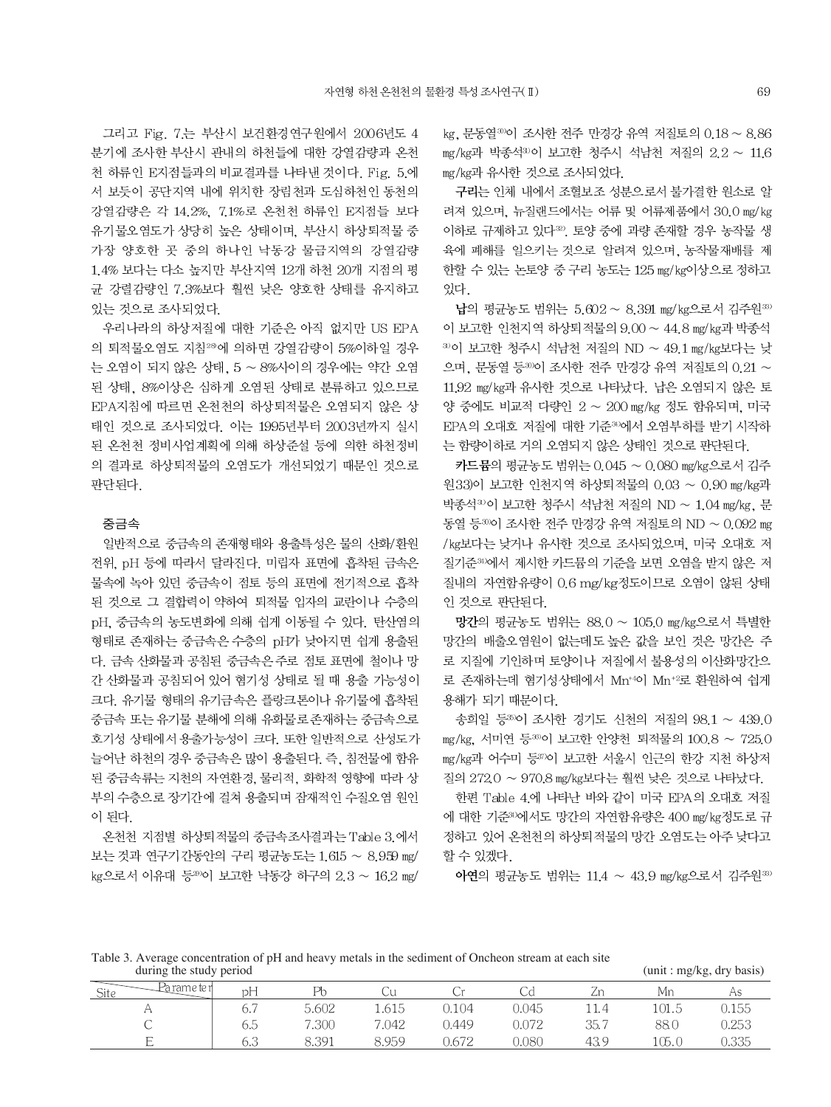그리고 Fig. 7.는 부산시 보건환경연구원에서 2006년도 4 분기에 조사한 부산시 관내의 하천들에 대한 강열감량과 온천 천 하류인 E지점들과의 비교결과를 나타낸 것이다. Fig. 5.에 서 보듯이 공단지역 내에 위치한 장림천과 도심하천인 동천의 강열감량은 각 14.2%, 7.1%로 온천천 하류인 E지점들 보다 유기물오염도가 상당히 높은 상태이며, 부산시 하상퇴적물 중 가장 양호한 곳 중의 하나인 낙동강 물금지역의 강열감량 1.4% 보다는 다소 높지만 부산지역 12개 하천 20개 지점의 평 균 강렬감량인 7.3%보다 훨씬 낮은 양호한 상태를 유지하고 있는 것으로 조사되었다.

우리나라의 하상저질에 대한 기준은 아직 없지만 US EPA 의 퇴적물오염도 지침<sup>28</sup>에 의하면 강열감량이 5%이하일 경우 는 오염이 되지 않은 상태, 5 ~ 8%사이의 경우에는 약간 오염 된 상태, 8%이상은 심하게 오염된 상태로 분류하고 있으므로 EPA지침에 따르면 온천천의 하상퇴적물은 오염되지 않은 상 태인 것으로 조사되었다. 이는 1995년부터 2003년까지 실시 된 온천천 정비사업계획에 의해 하상준설 등에 의한 하천정비 의 결과로 하상퇴적물의 오염도가 개선되었기 때문인 것으로 판단된다.

#### 중금속

일반적으로 중금속의 존재형태와 용출특성은 물의 산화/환원 전위, pH 등에 따라서 달라진다. 미립자 표면에 흡착된 금속은 물속에 녹아 있던 중금속이 점토 등의 표면에 전기적으로 흡착 된 것으로 그 결합력이 약하여 퇴적물 입자의 교란이나 수층의 pH, 중금속의 농도변화에 의해 쉽게 이동될 수 있다. 탄산염의 형태로 존재하는 중금속은 수층의 pH가 낮아지면 쉽게 용출된 다. 금속 산화물과 공침된 중금속은 주로 점토 표면에 철이나 망 간 산화물과 공침되어 있어 혐기성 상태로 될 때 용출 가능성이 크다. 유기물 형태의 유기금속은 플랑크톤이나 유기물에 흡착된 중금속 또는 유기물 분해에 의해 유화물로 존재하는 중금속으로 호기성 상태에서 용출가능성이 크다. 또한 일반적으로 산성도가 늘어난 하천의 경우 중금속은 많이 용출된다. 즉, 침전물에 함유 된 중금속류는 지천의 자연환경, 물리적, 화학적 영향에 따라 상 부의 수층으로 장기간에 걸쳐 용출되며 잠재적인 수질오염 원인 이 된다.

온천천 지점별 하상퇴적물의 중금속조사결과는 Table 3.에서 보는 것과 연구기간동안의 구리 평균농도는 1.615 ~ 8.959 mg/ kg으로서 이유대 등20)이 보고한 낙동강 하구의 2.3 ~ 16.2 mg/ kg, 문동열30이 조사한 전주 만경강 유역 저질토의 0.18 ~ 8.86 mg/kg과 박종석30이 보고한 청주시 석남천 저질의 2.2 ~ 11.6 mg/kg과 유사한 것으로 조사되었다.

구리는 인체 내에서 조혈보조 성분으로서 불가결한 워소로 알 려져 있으며, 뉴질랜드에서는 어류 및 어류제품에서 30.0 mg/kg 이하로 규제하고 있다<sup>30</sup>. 토양 중에 과량 존재할 경우 농작물 생 육에 폐해를 일으키는 것으로 알려져 있으며, 농작물재배를 제 한할 수 있는 논토양 중 구리 농도는 125 mg/kg이상으로 정하고 있다.

납의 평균농도 범위는 5.602 ~ 8.391 mg/kg으로서 김주원33) 이 보고한 인천지역 하상퇴적물의 9.00 ~ 44.8 mg/kg과 박종석  $30$ 이 보고한 청주시 석남천 저질의 ND ~ 49.1 mg/kg보다는 낮 으며, 문동열 등30이 조사한 전주 만경강 유역 저질토의 0.21 ~ 11.92 mg/kg과 유사한 것으로 나타났다. 납은 오염되지 않은 토 양 중에도 비교적 다량인 2 ~ 200 mg/kg 정도 함유되며, 미국 EPA의 오대호 저질에 대한 기준30에서 오염부하를 받기 시작하 는 함량이하로 거의 오염되지 않은 상태인 것으로 판단된다.

카드뮴의 평균농도 범위는 0.045 ~ 0.080 mg/kg으로서 김주 원33)이 보고한 인천지역 하상퇴적물의 0.03 ~ 0.90 mg/kg과 박종석30 보고한 청주시 석남천 저질의 ND ~ 1.04 mg/kg, 문 동열 등 • 이 조사한 전주 만경강 유역 저질토의 ND ~ 0.092 mg /kg보다는 낮거나 유사한 것으로 조사되었으며, 미국 오대호 저 질기준30에서 제시한 카드뮴의 기준을 보면 오염을 받지 않은 저 질내의 자연함유량이 0.6 mg/kg정도이므로 오염이 않된 상태 인 것으로 판단된다.

망간의 평균농도 범위는 88.0 ~ 105.0 mg/kg으로서 특별한 망간의 배출오염원이 없는데도 높은 값을 보인 것은 망간은 주 로 지질에 기인하며 토양이나 저질에서 불용성의 이산화망간으 로 존재하는데 혐기성상태에서 Mn<sup>+4</sup>이 Mn<sup>+2</sup>로 환원하여 쉽게 용해가 되기 때문이다.

송희일 등30이 조사한 경기도 신천의 저질의 98.1 ~ 439.0 mg/kg, 서미연 등30이 보고한 안양천 퇴적물의 100.8 ~ 725.0 mg/kg과 어수미 등370 보고한 서울시 인근의 한강 지천 하상저 질의 272.0 ~ 970.8 mg/kg보다는 훨씬 낮은 것으로 나타났다.

한편 Table 4.에 나타난 바와 같이 미국 EPA의 오대호 저질 에 대한 기준34)에서도 망간의 자연함유량은 400 mg/kg정도로 규 정하고 있어 온천천의 하상퇴적물의 망간 오염도는 아주 낮다고 할 수 있겠다.

아연의 평균농도 범위는 11.4 ~ 43.9 mg/kg으로서 김주원33)

Table 3. Average concentration of pH and heavy metals in the sediment of Oncheon stream at each site during the study period

| (unit : mg/kg, dry basis) |  |
|---------------------------|--|
|                           |  |

| i rame te rl<br>Site | $\mathbf{r}$<br>рH | P <sub>b</sub> |       |       |       | ৴    | Mr    |       |
|----------------------|--------------------|----------------|-------|-------|-------|------|-------|-------|
|                      | 6.7                | 5.602          | 1.615 | 0.104 | 0.045 | 11.4 | 101.5 | 0.155 |
|                      | 6.5                | 7.300          | 7.042 | 0.449 | 0.072 | 35.7 | 88.0  | 0.253 |
| $\overline{ }$<br>∸  | 6.3                | 8.391          | 8.959 | 0.672 | 0.080 | 43.9 | 105.0 | 0.335 |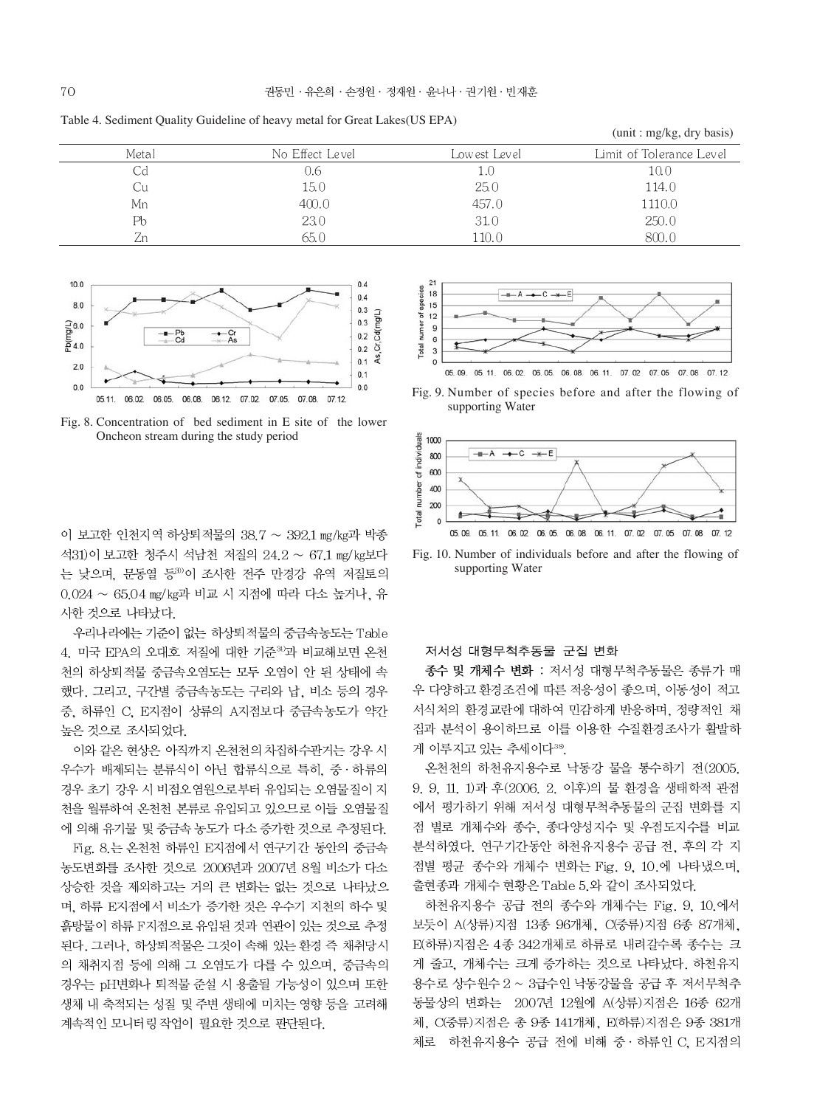Table 4. Sediment Quality Guideline of heavy metal for Great Lakes(US EPA)

|       |                 |              | (unit : mg/kg, dry basis) |
|-------|-----------------|--------------|---------------------------|
| Metal | No Effect Level | Lowest Level | Limit of Tolerance Level  |
| UG    | J.6             | 1.U          | 10.0                      |
| Cu    | 15.0            | 25.0         | 114.0                     |
| Mn    | 400.0           | 457.0        | 1110.0                    |
| Pb    | 23.0            | 31.0         | 250.0                     |
| Zn    | 65.0            | 110.0        | 800.0                     |



Fig. 8. Concentration of bed sediment in E site of the lower Oncheon stream during the study period

이 보고한 인천지역 하상퇴적물의 38.7 ~ 392.1 mg/kg과 박종 석31)이 보고한 청주시 석남천 저질의 24.2 ~ 67.1 mg/kg보다 는 낮으며, 문동열 등30이 조사한 전주 만경강 유역 저질토의 0.024 ~ 65.04 mg/kg과 비교 시 지점에 따라 다소 높거나, 유 사한 것으로 나타났다.

우리나라에는 기준이 없는 하상퇴적물의 중금속농도는 Table 4. 미국 EPA의 오대호 저질에 대한 기준<sup>30</sup>과 비교해보면 온천 천의 하상퇴적물 중금속오염도는 모두 오염이 안 된 상태에 속 했다. 그리고, 구간별 중금속농도는 구리와 납, 비소 등의 경우 중, 하류인 C, E지점이 상류의 A지점보다 중금속농도가 약간 높은 것으로 조사되었다.

이와 같은 현상은 아직까지 온천천의 차집하수관거는 강우 시 우수가 배제되는 분류식이 아닌 합류식으로 특히, 중·하류의 경우 초기 강우 시 비점오염원으로부터 유입되는 오염물질이 지 천을 월류하여 온천천 본류로 유입되고 있으므로 이들 오염물질 에 의해 유기물 및 중금속 농도가 다소 증가한 것으로 추정된다.

Fig. 8. 는 온천천 하류인 E지점에서 연구기간 동안의 중금속 농도변화를 조사한 것으로 2006년과 2007년 8월 비소가 다소 상승한 것을 제외하고는 거의 큰 변화는 없는 것으로 나타났으 며, 하류 E지점에서 비소가 증가한 것은 우수기 지천의 하수 및 흙탕물이 하류 F지점으로 유입된 것과 연관이 있는 것으로 추정 된다. 그러나, 하상퇴적물은 그것이 속해 있는 환경 즉 채취당시 의 채취지점 등에 의해 그 오염도가 다를 수 있으며, 중금속의 경우는 pH변화나 퇴적물 준설 시 용출될 가능성이 있으며 또한 생체 내 축적되는 성질 및 주변 생태에 미치는 영향 등을 고려해 계속적인 모니터링 작업이 필요한 것으로 판단된다.



Fig. 9. Number of species before and after the flowing of supporting Water



Fig. 10. Number of individuals before and after the flowing of supporting Water

#### 저서성 대형무척추동물 군집 변화

종수 및 개체수 변화 : 저서성 대형무척추동물은 종류가 매 우 다양하고 환경조건에 따른 적응성이 좋으며, 이동성이 적고 서식처의 환경교란에 대하여 민감하게 반응하며, 정량적인 채 집과 분석이 용이하므로 이를 이용한 수질환경조사가 활발하 게 이루지고 있는 추세이다38.

온천천의 하천유지용수로 낙동강 물을 통수하기 전(2005. 9. 9, 11. 1)과 후(2006. 2. 이후)의 물 환경을 생태학적 관점 에서 평가하기 위해 저서성 대형무척추동물의 군집 변화를 지 점 별로 개체수와 종수, 종다양성지수 및 우점도지수를 비교 분석하였다. 연구기간동안 하천유지용수 공급 전, 후의 각 지 점별 평균 종수와 개체수 변화는 Fig. 9, 10.에 나타냈으며, 출현종과 개체수 현황은 Table 5.와 같이 조사되었다.

하천유지용수 공급 전의 종수와 개체수는 Fig. 9, 10.에서 보듯이 A(상류)지점 13종 96개체, C(중류)지점 6종 87개체, E(하류)지점은 4종 342개체로 하류로 내려갈수록 종수는 크 게 줄고, 개체수는 크게 증가하는 것으로 나타났다. 하천유지 용수로 상수원수 2 ~ 3급수인 낙동강물을 공급 후 저서무척추 동물상의 변화는 2007년 12월에 A(상류)지점은 16종 62개 체, C(중류)지점은 총 9종 141개체, E(하류)지점은 9종 381개 체로 하천유지용수 공급 전에 비해 중 · 하류인 C, E지점의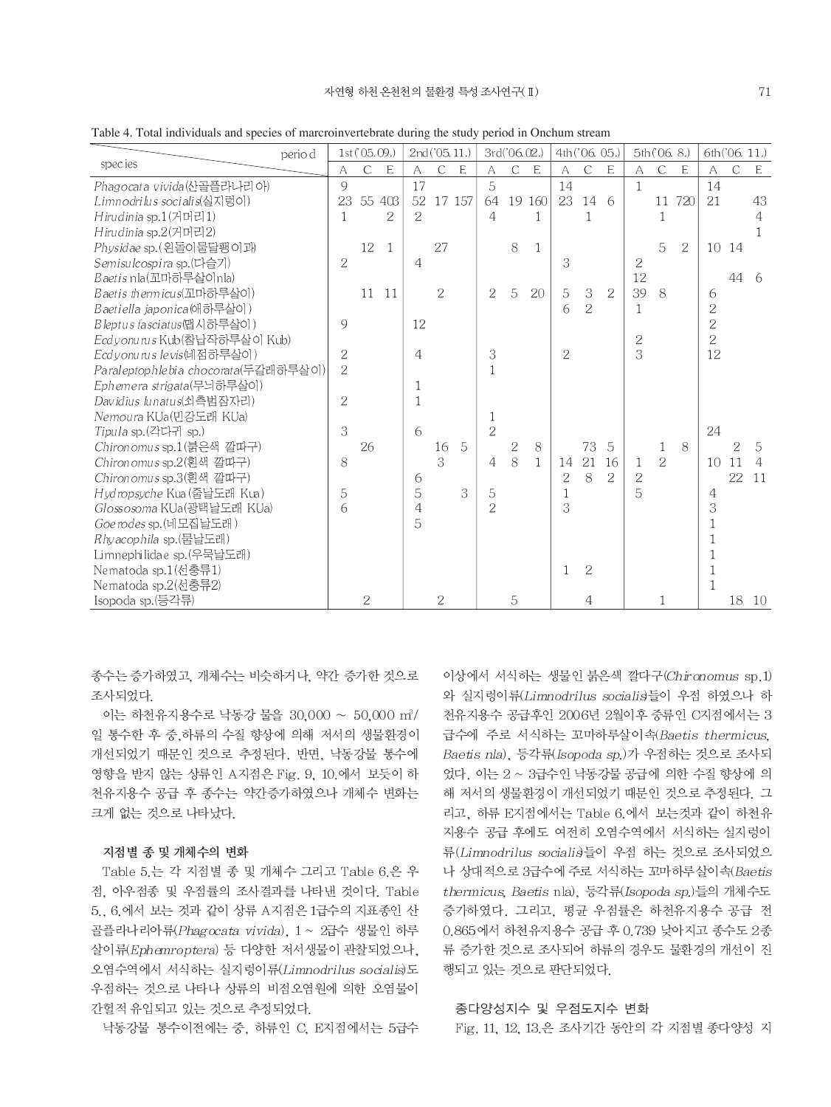| perio d                             |                | 1st('05.09.)  |              |                | 2nd('05.11.)   |                |                | 3rd('06.02.)  |              |                | 4th('06.05.)   |                |                | 5th(06.8)      |     |                | 6th('06.11.)  |                |
|-------------------------------------|----------------|---------------|--------------|----------------|----------------|----------------|----------------|---------------|--------------|----------------|----------------|----------------|----------------|----------------|-----|----------------|---------------|----------------|
| species                             | A              | $\mathcal{C}$ | E            | A              | $\mathcal{C}$  | $\mathsf E$    | A              | $\mathcal{C}$ | E            | A              | $\mathcal{C}$  | E              | A              | $\mathcal{C}$  | E   | $\overline{A}$ | $\mathcal{C}$ | E              |
| Phagocata vivida(산골플라나리아)           | 9              |               |              | 17             |                |                | 5              |               |              | 14             |                |                | $\mathbf{1}$   |                |     | 14             |               |                |
| Limnodrilus socialis(실지렁이)          | 23             |               | 55 403       | 52             |                | 17 157         | 64             |               | 19 160       | 23             | 14             | -6             |                | 11             | 720 | 21             |               | 43             |
| Hirudinia sp.1(거머리1)                | 1              |               | 2            | $\overline{2}$ |                |                | $\overline{4}$ |               |              |                | 1              |                |                | 1              |     |                |               | 4              |
| Hirudinia sp.2(거머리2)                |                |               |              |                |                |                |                |               |              |                |                |                |                |                |     |                |               | 1              |
| Physidae sp. (왼돌이물달팽이과)             |                | 12            | $\mathbf{1}$ |                | 27             |                |                | 8             | $\mathbf{1}$ |                |                |                |                | 5              | 2   | 10             | 14            |                |
| Semisulcospira sp.(다슬기)             | $\overline{2}$ |               |              | 4              |                |                |                |               |              | 3              |                |                | 2              |                |     |                |               |                |
| Baetis nla(꼬마하루살이nla)               |                |               |              |                |                |                |                |               |              |                |                |                | 12             |                |     |                | 44            | -6             |
| Baetis thermicus(꼬마하루살이)            |                | 11            | 11           |                | $\sqrt{2}$     |                | $\overline{2}$ | 5             | 20           | 5              | 3              | $\sqrt{2}$     | 39             | 8              |     | 6              |               |                |
| <i>Baetiella japonica</i> (애하루살이)   |                |               |              |                |                |                |                |               |              | 6              | $\overline{2}$ |                | 1              |                |     | $\overline{2}$ |               |                |
| Bleptus fasciatus(맵시하루살이)           | 9              |               |              | 12             |                |                |                |               |              |                |                |                |                |                |     | $\overline{2}$ |               |                |
| Ecdyonurus Kub(참납작하루살이 Kub)         |                |               |              |                |                |                |                |               |              |                |                |                | $\overline{2}$ |                |     | $\overline{2}$ |               |                |
| Ecdyonurus le vis(네점하루살이)           | $\overline{2}$ |               |              | $\overline{4}$ |                |                | 3              |               |              | $\overline{2}$ |                |                | 3              |                |     | 12             |               |                |
| Paraleptophlebia chocorata(두갈래하루살이) | $\overline{2}$ |               |              |                |                |                | $\mathbb{1}$   |               |              |                |                |                |                |                |     |                |               |                |
| Ephemera strigata(무늬하루살이)           |                |               |              | 1              |                |                |                |               |              |                |                |                |                |                |     |                |               |                |
| Davidius lunatus(쇠측범잠자리)            | $\overline{2}$ |               |              | 1              |                |                |                |               |              |                |                |                |                |                |     |                |               |                |
| Nemoura KUa(민강도래 KUa)               |                |               |              |                |                |                | 1              |               |              |                |                |                |                |                |     |                |               |                |
| Tipula sp.(각다귀 sp.)                 | 3              |               |              | 6              |                |                | $\overline{2}$ |               |              |                |                |                |                |                |     | 24             |               |                |
| Chironomus sp.1(붉은색 깔따구)            |                | 26            |              |                | 16             | $\overline{5}$ |                | 2             | 8            |                | 73             | $\overline{5}$ |                | 1              | 8   |                | 2             | 5              |
| Chironomus sp.2(횐색 깔따구)             | 8              |               |              |                | 3              |                | 4              | 8             | $\mathbf{1}$ | 14             | 21             | 16             | 1              | $\overline{2}$ |     | 10             | 11            | $\overline{4}$ |
| Chironomus sp.3(흰색 깔따구)             |                |               |              | 6              |                |                |                |               |              | $\overline{2}$ | 8              | $\overline{2}$ | $\overline{2}$ |                |     |                | 22            | 11             |
| Hydropsyche Kua (줄날도래 Kua)          | 5              |               |              | 5              |                | 3              | 5              |               |              | $\mathbf{1}$   |                |                | 5              |                |     | 4              |               |                |
| Glossosoma KUa(광택날도래 KUa)           | 6              |               |              | $\overline{4}$ |                |                | $\overline{2}$ |               |              | 3              |                |                |                |                |     | 3              |               |                |
| Goerodes sp. (네모집날도래)               |                |               |              | 5              |                |                |                |               |              |                |                |                |                |                |     |                |               |                |
| Rhyacophila sp.(물날도래)               |                |               |              |                |                |                |                |               |              |                |                |                |                |                |     |                |               |                |
| Limnephilidae sp.(우묵날도래)            |                |               |              |                |                |                |                |               |              |                |                |                |                |                |     |                |               |                |
| Nematoda sp.1(선충류1)                 |                |               |              |                |                |                |                |               |              | $\mathbf{1}$   | $\overline{2}$ |                |                |                |     | 1              |               |                |
| Nematoda sp.2(선충류2)                 |                |               |              |                |                |                |                |               |              |                |                |                |                |                |     | $\mathbf{1}$   |               |                |
| Isopoda sp.(등각류)                    |                | 2             |              |                | $\overline{2}$ |                |                | 5             |              |                | $\overline{4}$ |                |                | 1              |     |                | 18            | -10            |

Table 4. Total individuals and species of marcroinvertebrate during the study period in Onchum stream

종수는 증가하였고, 개체수는 비슷하거나, 약간 증가한 것으로 조사되었다.

이는 하천유지용수로 낙동강 물을 30,000 ~ 50,000 m<sup>3</sup>/ 일 통수한 후 중 하류의 수질 향상에 의해 저서의 생물환경이 개선되었기 때문인 것으로 추정된다. 반면, 낙동강물 통수에 영향을 받지 않는 상류인 A지점은 Fig. 9, 10.에서 보듯이 하 천유지용수 공급 후 종수는 약간증가하였으나 개체수 변화는 크게 없는 것으로 나타났다.

#### 지점별 종 및 개체수의 변화

Table 5.는 각 지점별 종 및 개체수 그리고 Table 6.은 우 점, 아우점종 및 우점률의 조사결과를 나타낸 것이다. Table 5., 6.에서 보는 것과 같이 상류 A지점은 1급수의 지표종인 산 골플라나리아류(Phagocata vivida), 1 ~ 2급수 생물인 하루 살이류(Ephemroptera) 등 다양한 저서생물이 관찰되었으나, 오염수역에서 서식하는 실지렁이류(Limnodrilus socialis)도 우점하는 것으로 나타나 상류의 비점오염원에 의한 오염물이 간헐적 유입되고 있는 것으로 추정되었다.

낙동강물 통수이전에는 중, 하류인 C, E지점에서는 5급수

이상에서 서식하는 생물인 붉은색 깔다구(Chironomus sp.1) 와 실지렁이류(Limnodrilus socialis)들이 우점 하였으나 하 천유지용수 공급후인 2006년 2월이후 중류인 C지점에서는 3 급수에 주로 서식하는 꼬마하루살이속(Baetis thermicus. Baetis nla), 등각류(Isopoda sp.)가 우점하는 것으로 조사되 었다. 이는 2 ~ 3급수인 낙동강물 공급에 의한 수질 향상에 의 해 저서의 생물환경이 개선되었기 때문인 것으로 추정된다. 그 리고, 하류 E지점에서는 Table 6.에서 보는것과 같이 하천유 지용수 공급 후에도 여전히 오염수역에서 서식하는 실지렁이 류(Limnodrilus socialis들이 우점 하는 것으로 조사되었으 나 상대적으로 3급수에 주로 서식하는 꼬마하루살이속(Baetis thermicus, Baetis nla), 등각류(Isopoda sp.)들의 개체수도 증가하였다. 그리고, 평균 우점률은 하천유지용수 공급 전 0.865에서 하천유지용수 공급 후 0.739 낮아지고 종수도 2종 류 증가한 것으로 조사되어 하류의 경우도 물환경의 개선이 진 행되고 있는 것으로 판단되었다.

#### 종다양성지수 및 우점도지수 변화

Fig. 11, 12, 13.은 조사기간 동안의 각 지점별 종다양성 지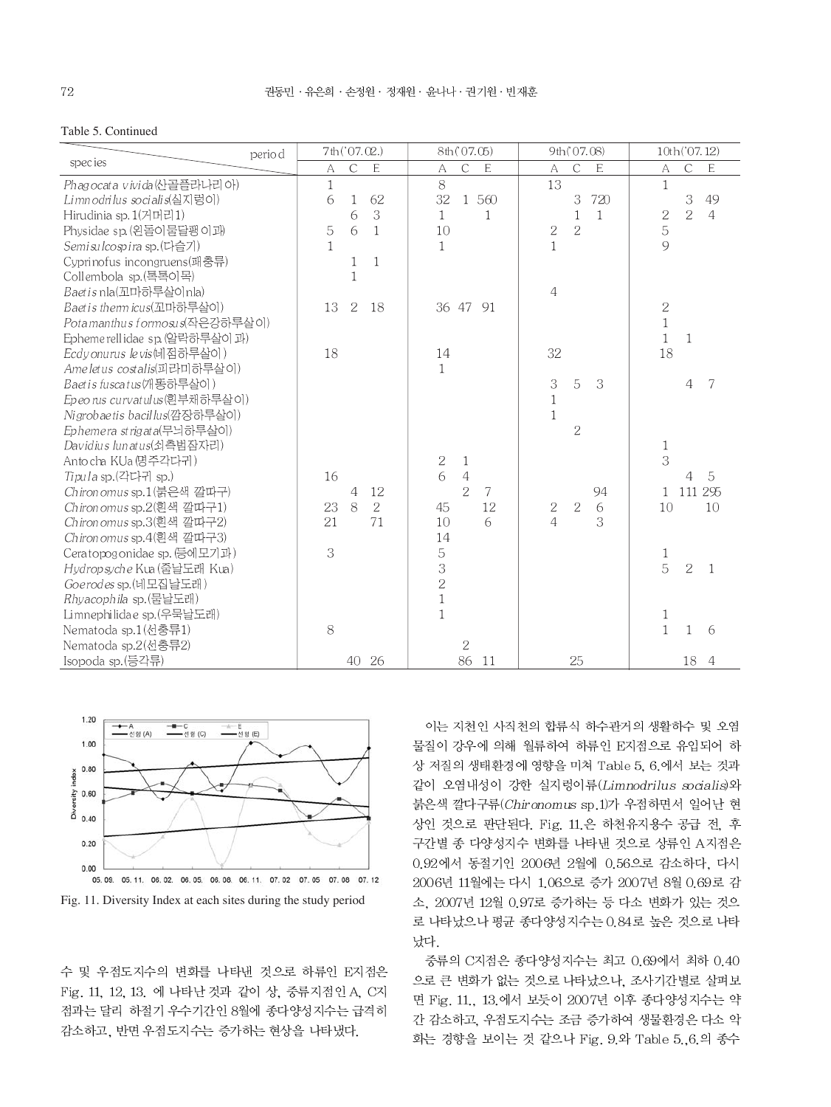#### Table 5. Continued

| perio d                       | 7th ('07.02.)                   | 8th('07.05)                | 9th (07.08)                   | 10th('07.12)                                   |
|-------------------------------|---------------------------------|----------------------------|-------------------------------|------------------------------------------------|
| <i>species</i>                | $\mathsf C$<br>$\mathsf E$<br>A | $\mathsf C$<br>E<br>A      | $\mathsf{C}$<br>E<br>A        | $\mathsf C$<br>A<br>E                          |
| Phagocata vivida (산골플라나리아)    | 1                               | 8                          | 13                            | $\mathbf{1}$                                   |
| Limnodrilus socialis(실지렁이)    | 6<br>62<br>1                    | 32<br>1 560                | 720<br>$\,$ 3 $\,$            | 3<br>49                                        |
| Hirudinia sp. 1(거머리1)         | 3<br>6                          | $\mathbf{1}$<br>1          | 1<br>$\mathbf{1}$             | $\overline{2}$<br>$\sqrt{2}$<br>$\overline{4}$ |
| Physidae sp. (왼돌이물달팽이과)       | 5<br>6<br>$\mathbf{1}$          | 10                         | $\sqrt{2}$<br>$\overline{2}$  | $\overline{5}$                                 |
| Semisulcospira sp. (다슬기)      | 1                               | $\mathbf{1}$               | $1\,$                         | 9                                              |
| Cyprinofus incongruens(패충류)   | $\mathbf{1}$<br>$\mathbf{1}$    |                            |                               |                                                |
| Collembola sp.(톡톡이목)          | $\mathbf 1$                     |                            |                               |                                                |
| Baetis nla(꼬마하루살이nla)         |                                 |                            | $\overline{4}$                |                                                |
| Baetis thermicus(꼬마하루살이)      | 2<br>13<br><sup>18</sup>        | 36 47<br>91                |                               | $\sqrt{2}$                                     |
| Potamanthus formosus(작은강하루살이) |                                 |                            |                               | $\mathbf 1$                                    |
| Ephemerellidae sp. (알락하루살이 과) |                                 |                            |                               | $\mathbf{1}$<br>$\mathbf{1}$                   |
| Ecdyonurus levis(네점하루살이)      | 18                              | 14                         | 32                            | 18                                             |
| Ameletus costalis(피라미하루살이)    |                                 | $\mathbf{1}$               |                               |                                                |
| Baetis fuscatus(개똥하루살이)       |                                 |                            | 3<br>3<br>5                   | 7<br>4                                         |
| Epeorus curvatulus(흰부채하루살이)   |                                 |                            | $\mathbf 1$                   |                                                |
| Nigrobaetis bacillus(깜장하루살이)  |                                 |                            | $\mathbf{1}$                  |                                                |
| Ephemera strigata(무늬하루살이)     |                                 |                            | $\overline{2}$                |                                                |
| Davidius lunatus(쇠측범잠자리)      |                                 |                            |                               | $\mathbf{1}$                                   |
| Antocha KUa 명주각다귀)            |                                 | $\sqrt{2}$<br>$\mathbf{1}$ |                               | 3                                              |
| Tipula sp.(각다귀 sp.)           | 16                              | 6<br>$\overline{4}$        |                               | 5<br>4                                         |
| Chironomus sp.1(붉은색 깔따구)      | 4<br>12                         | $\overline{2}$<br>7        | 94                            | 295<br>111<br>$\mathbf{1}$                     |
| Chironomus sp.2(흰색 깔따구1)      | 8<br>2<br>23                    | 12<br>45                   | $\sqrt{2}$<br>$\sqrt{2}$<br>6 | 10<br>10                                       |
| Chironomus sp.3(흰색 깔따구2)      | 21<br>71                        | 10<br>6                    | 3<br>$\overline{4}$           |                                                |
| Chironomus sp.4(흰색 깔따구3)      |                                 | 14                         |                               |                                                |
| Ceratopogonidae sp. (등에모기과)   | 3                               | 5                          |                               | 1                                              |
| Hydropsyche Kua (줄날도래 Kua)    |                                 | 3                          |                               | 5<br>$\overline{2}$<br>$\mathbf{1}$            |
| Goerodes sp. (네모집날도래)         |                                 | $\overline{2}$             |                               |                                                |
| Rhyacophila sp. (물날도래)        |                                 | $\,1$                      |                               |                                                |
| Limnephilidae sp.(우묵날도래)      |                                 | $\mathbf{1}$               |                               | $\,1$                                          |
| Nematoda sp.1(선충류1)           | 8                               |                            |                               | $\mathbf{1}$<br>1<br>6                         |
| Nematoda sp.2(선충류2)           |                                 | $\overline{2}$             |                               |                                                |
| Isopoda sp.(등각류)              | 40 26                           | 86<br>-11                  | 25                            | 18<br>$\overline{4}$                           |





수 및 우점도지수의 변화를 나타낸 것으로 하류인 E지점은 Fig. 11, 12, 13. 에 나타난 것과 같이 상, 중류지점인 A, C지 점과는 달리 하절기 우수기간인 8월에 종다양성지수는 급격히 감소하고, 반면 우점도지수는 증가하는 현상을 나타냈다.

이는 지천인 사직천의 합류식 하수관거의 생활하수 및 오염 물질이 강우에 의해 월류하여 하류인 E지점으로 유입되어 하 상 저질의 생태환경에 영향을 미쳐 Table 5, 6.에서 보는 것과 같이 오염내성이 강한 실지렁이류(Limnodrilus socialis)와 붉은색 깔다구류(Chironomus sp.1)가 우점하면서 일어난 현 상인 것으로 판단된다. Fig. 11.은 하천유지용수 공급 전, 후 구간별 종 다양성지수 변화를 나타낸 것으로 상류인 A지점은 0.92에서 동절기인 2006년 2월에 0.56으로 감소하다. 다시 2006년 11월에는 다시 1.06으로 증가 2007년 8월 0.69로 감 소, 2007년 12월 0.97로 증가하는 등 다소 변화가 있는 것으 로 나타났으나 평균 종다양성지수는 0.84로 높은 것으로 나타 났다.

중류의 C지점은 종다양성지수는 최고 0.69에서 최하 0.40 으로 큰 변화가 없는 것으로 나타났으나, 조사기간별로 살펴보 면 Fig. 11., 13.에서 보듯이 2007년 이후 종다양성지수는 약 간 감소하고, 우점도지수는 조금 증가하여 생물환경은 다소 악 화는 경향을 보이는 것 같으나 Fig. 9.와 Table 5.,6.의 종수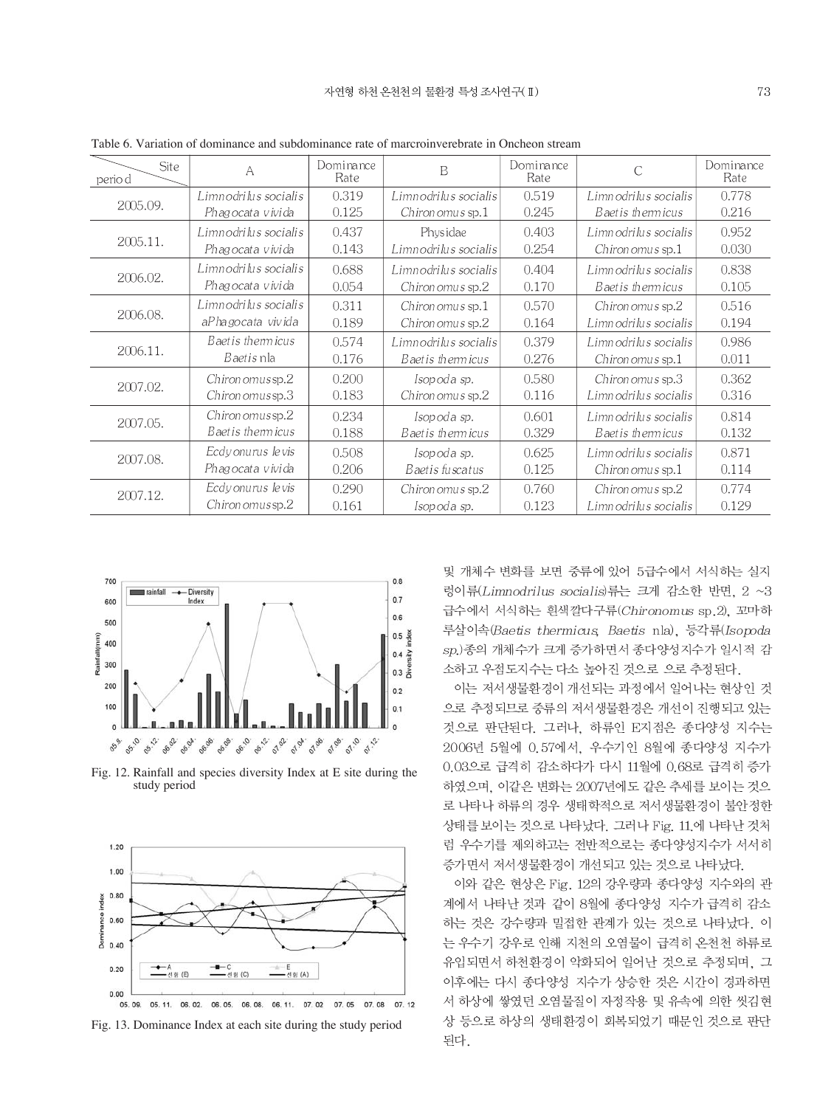| <b>Site</b><br>perio d | A                        | Dominance<br>Rate | B                     | Dominance<br>Rate | C                        | Dominance<br>Rate |
|------------------------|--------------------------|-------------------|-----------------------|-------------------|--------------------------|-------------------|
|                        | Limn odrilus socialis    | 0.319             | Limnodrilus socialis  | 0.519             | Limn odrilus socialis    | 0.778             |
| 2005.09.               | Phagocata vivida         | 0.125             | Chiron omus sp.1      | 0.245             | Baet is therm icus       | 0.216             |
|                        | Limn odrilus socialis    | 0.437             | Physidae              | 0.403             | Limn odrilus socialis    | 0.952             |
| 2005.11.               | Phagocata vivida         | 0.143             | Limn odrilus socialis | 0.254             | Chiron omus sp.1         | 0.030             |
|                        | Limn odrilus socialis    | 0.688             | Limn odrilus socialis | 0.404             | Limnodrilus socialis     | 0.838             |
| 2006.02.               | Phagocata vivida         | 0.054             | Chiron omus sp.2      | 0.170             | Baet is therm icus       | 0.105             |
|                        | Limn odrilus socialis    | 0.311             | Chiron omus sp.1      | 0.570             | Chiron omus sp.2         | 0.516             |
| 2006.08.               | aPha gocata vivida       | 0.189             | Chiron omus sp.2      | 0.164             | Limnodrilus socialis     | 0.194             |
| 2006.11.               | Baet is therm icus       | 0.574             | Limn odrilus socialis | 0.379             | Limnodrilus socialis     | 0.986             |
|                        | <i>Baetis</i> nla        | 0.176             | Baet is thermicus     | 0.276             | Chiron omus sp.1         | 0.011             |
| 2007.02.               | $Chiron \, omus sp.2$    | 0.200             | Isopoda sp.           | 0.580             | Chiron omus sp.3         | 0.362             |
|                        | $Chiron \, omus$ sp.3    | 0.183             | Chiron omus sp.2      | 0.116             | Limnodrilus socialis     | 0.316             |
| 2007.05.               | Chironomussp.2           | 0.234             | Isopoda sp.           | 0.601             | Limnodrilus socialis     | 0.814             |
|                        | Baet is therm icus       | 0.188             | Baet is therm icus    | 0.329             | Baet is therm icus       | 0.132             |
| 2007.08.               | Ecdy onurus levis        | 0.508             | Isopoda sp.           | 0.625             | Limnodrilus socialis     | 0.871             |
|                        | Phagocata vivida         | 0.206             | Baetis fuscatus       | 0.125             | $Chiron \, omus \, sp.1$ | 0.114             |
| 2007.12.               | Ecdy onurus levis        | 0.290             | Chiron omus sp.2      | 0.760             | Chiron omus sp.2         | 0.774             |
|                        | $Chiron \, omus$ sp. $2$ | 0.161             | Isopoda sp.           | 0.123             | Limnodrilus socialis     | 0.129             |

Table 6. Variation of dominance and subdominance rate of marcroinverebrate in Oncheon stream



Fig. 12. Rainfall and species diversity Index at E site during the study period





및 개체수 변화를 보면 중류에 있어 5급수에서 서식하는 실지 렁이류(Limnodrilus socialis)류는 크게 감소한 반면, 2 ~3 급수에서 서식하는 흰색깔다구류(Chironomus sp.2), 꼬마하 루살이속(Baetis thermicus, Baetis nla), 등각류(Isopoda sp.)종의 개체수가 크게 증가하면서 종다양성지수가 일시적 감 소하고 우점도지수는 다소 높아진 것으로 으로 추정된다.

이는 저서생물환경이 개선되는 과정에서 일어나는 현상인 것 으로 추정되므로 중류의 저서생물환경은 개선이 진행되고 있는 것으로 판단된다. 그러나, 하류인 E지점은 종다양성 지수는 2006년 5월에 0.57에서, 우수기인 8월에 종다양성 지수가 0.03으로 급격히 감소하다가 다시 11월에 0.68로 급격히 증가 하였으며, 이같은 변화는 2007년에도 같은 추세를 보이는 것으 로 나타나 하류의 경우 생태학적으로 저서생물환경이 불안정한 상태를 보이는 것으로 나타났다. 그러나 Fig. 11.에 나타난 것처 럼 우수기를 제외하고는 전반적으로는 종다양성지수가 서서히 증가면서 저서생물환경이 개선되고 있는 것으로 나타났다.

이와 같은 현상은 Fig. 12의 강우량과 종다양성 지수와의 관 계에서 나타난 것과 같이 8월에 종다양성 지수가 급격히 감소 하는 것은 강수량과 밀접한 관계가 있는 것으로 나타났다. 이 는 우수기 강우로 인해 지천의 오염물이 급격히 온천천 하류로 유입되면서 하천환경이 악화되어 일어난 것으로 추정되며, 그 이후에는 다시 종다양성 지수가 상승한 것은 시간이 경과하면 서 하상에 쌓였던 오염물질이 자정작용 및 유속에 의한 씻김현 상 등으로 하상의 생태환경이 회복되었기 때문인 것으로 판단 된다.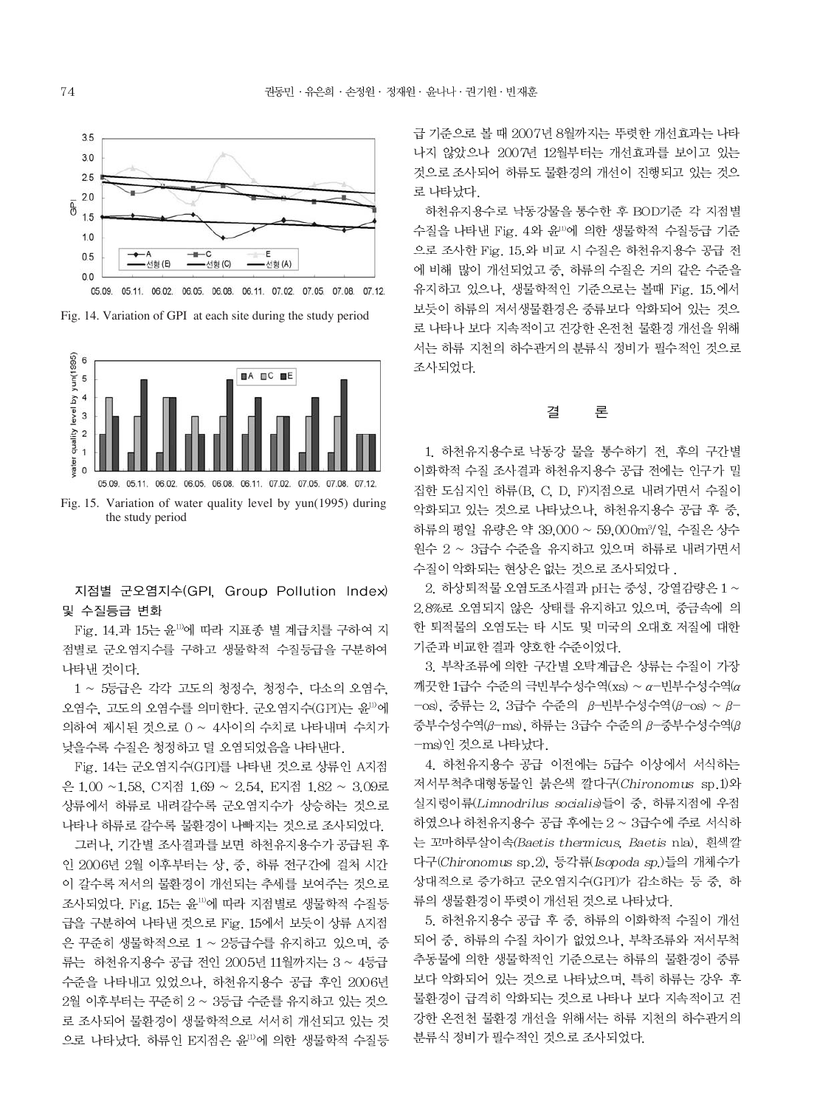

Fig. 14. Variation of GPI at each site during the study period



Fig. 15. Variation of water quality level by yun(1995) during the study period

지점별 군오염지수(GPI, Group Pollution Index) 및 수질등급 변화

Fig. 14.과 15는 윤<sup>11)</sup>에 따라 지표종 별 계급치를 구하여 지 점별로 군오염지수를 구하고 생물학적 수질등급을 구분하여 나타낸 것이다.

1 ~ 5등급은 각각 고도의 청정수, 청정수, 다소의 오염수, 오염수, 고도의 오염수를 의미한다. 군오염지수(GPI)는 윤<sup>11)</sup>에 의하여 제시된 것으로 0 ~ 4사이의 수치로 나타내며 수치가 낮을수록 수질은 청정하고 덜 오염되었음을 나타낸다.

Fig. 14는 군오염지수(GPI)를 나타낸 것으로 상류인 A지점 은 1.00 ~1.58, C지점 1.69 ~ 2.54, E지점 1.82 ~ 3.09로 상류에서 하류로 내려갈수록 군오염지수가 상승하는 것으로 나타나 하류로 갈수록 물환경이 나빠지는 것으로 조사되었다.

그러나. 기간별 조사결과를 보면 하천유지용수가 공급된 후 인 2006년 2월 이후부터는 상, 중, 하류 전구간에 걸쳐 시간 이 갈수록 저서의 물환경이 개선되는 추세를 보여주는 것으로 조사되었다. Fig. 15는 윤<sup>11)</sup>에 따라 지점별로 생물학적 수질등 급을 구분하여 나타낸 것으로 Fig. 15에서 보듯이 상류 A지점 은 꾸준히 생물학적으로 1 ~ 2등급수를 유지하고 있으며, 중 류는 하천유지용수 공급 전인 2005년 11월까지는 3 ~ 4등급 수준을 나타내고 있었으나, 하천유지용수 공급 후인 2006년 2월 이후부터는 꾸준히 2 ~ 3등급 수준를 유지하고 있는 것으 로 조사되어 물환경이 생물학적으로 서서히 개선되고 있는 것 으로 나타났다. 하류인 E지점은 윤<sup>11)</sup>에 의한 생물학적 수질등 급 기준으로 볼 때 2007년 8월까지는 뚜렷한 개선효과는 나타 나지 않았으나 2007년 12월부터는 개선효과를 보이고 있는 것으로 조사되어 하류도 물환경의 개선이 진행되고 있는 것으 로 나타났다.

하천유지용수로 낙동강물을 통수한 후 BOD기준 각 지점별 수질을 나타낸 Fig. 4와 윤<sup>10</sup>에 의한 생물학적 수질등급 기준 으로 조사한 Fig. 15.와 비교 시 수질은 하천유지용수 공급 전 에 비해 많이 개선되었고 중, 하류의 수질은 거의 같은 수준을 유지하고 있으나, 생물학적인 기준으로는 볼때 Fig. 15.에서 보듯이 하류의 저서생물환경은 중류보다 악화되어 있는 것으 로 나타나 보다 지속적이고 건강한 온전천 물환경 개선을 위해 서는 하류 지천의 하수관거의 분류식 정비가 필수적인 것으로 조사되었다.

#### 결 론

1. 하천유지용수로 낙동강 물을 통수하기 전, 후의 구간별 이화학적 수질 조사결과 하천유지용수 공급 전에는 인구가 밀 집한 도심지인 하류(B. C. D. F)지점으로 내려가면서 수질이 악화되고 있는 것으로 나타났으나, 하천유지용수 공급 후 중, 하류의 평일 유량은 약 39,000 ~ 59,000m3/일, 수질은 상수 원수 2 ~ 3급수 수준을 유지하고 있으며 하류로 내려가면서 수질이 악화되는 현상은 없는 것으로 조사되었다.

2. 하상퇴적물 오염도조사결과 pH는 중성, 강열감량은 1~ 2.8%로 오염되지 않은 상태를 유지하고 있으며, 중금속에 의 한 퇴적물의 오염도는 타 시도 및 미국의 오대호 저질에 대한 기준과 비교한 결과 양호한 수준이었다.

3. 부착조류에 의한 구간별 오탁계급은 상류는 수질이 가장 깨끗한 1급수 수준의 극빈부수성수역(xs) ~ α-빈부수성수역(α  $-\cos$ , 중류는 2, 3급수 수준의 β-빈부수성수역(β-os) ~ β- $\overline{5}$ 부수성수역( $\beta$ -ms), 하류는 3급수 수준의  $\beta$ -중부수성수역( $\beta$ -ms)인 것으로 나타났다.

4. 하천유지용수 공급 이전에는 5급수 이상에서 서식하는 저서무척추대형동물인 붉은색 깔다구(Chironomus sp.1)와 실지렁이류(Limnodrilus socialis)들이 중, 하류지점에 우점 하였으나 하천유지용수 공급 후에는 2 ~ 3급수에 주로 서식하 는 꼬마하루살이속(Baetis thermicus, Baetis nla), 흰색깔 다구(Chironomus sp.2), 등각류(Isopoda sp.)들의 개체수가 상대적으로 증가하고 군오염지수(GPI)가 감소하는 등 중, 하 류의 생물환경이 뚜렷이 개선된 것으로 나타났다.

5. 하천유지용수 공급 후 중, 하류의 이화학적 수질이 개선 되어 중, 하류의 수질 차이가 없었으나, 부착조류와 저서무척 추동물에 의한 생물학적인 기준으로는 하류의 물환경이 중류 보다 악화되어 있는 것으로 나타났으며, 특히 하류는 강우 후 물환경이 급격히 악화되는 것으로 나타나 보다 지속적이고 건 강한 온전천 물환경 개선을 위해서는 하류 지천의 하수관거의 분류식 정비가 필수적인 것으로 조사되었다.